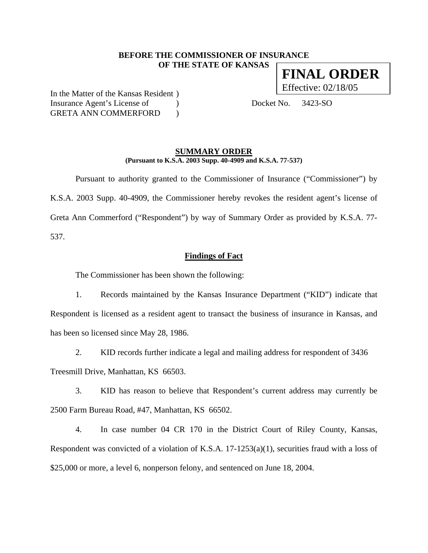## **BEFORE THE COMMISSIONER OF INSURANCE OF THE STATE OF KANSAS**

In the Matter of the Kansas Resident ) Insurance Agent's License of (a) Docket No. 3423-SO GRETA ANN COMMERFORD )

### **SUMMARY ORDER (Pursuant to K.S.A. 2003 Supp. 40-4909 and K.S.A. 77-537)**

 Pursuant to authority granted to the Commissioner of Insurance ("Commissioner") by K.S.A. 2003 Supp. 40-4909, the Commissioner hereby revokes the resident agent's license of Greta Ann Commerford ("Respondent") by way of Summary Order as provided by K.S.A. 77- 537.

#### **Findings of Fact**

The Commissioner has been shown the following:

1. Records maintained by the Kansas Insurance Department ("KID") indicate that Respondent is licensed as a resident agent to transact the business of insurance in Kansas, and has been so licensed since May 28, 1986.

2. KID records further indicate a legal and mailing address for respondent of 3436 Treesmill Drive, Manhattan, KS 66503.

3. KID has reason to believe that Respondent's current address may currently be 2500 Farm Bureau Road, #47, Manhattan, KS 66502.

4. In case number 04 CR 170 in the District Court of Riley County, Kansas, Respondent was convicted of a violation of K.S.A. 17-1253(a)(1), securities fraud with a loss of \$25,000 or more, a level 6, nonperson felony, and sentenced on June 18, 2004.

**FINAL ORDER**  Effective: 02/18/05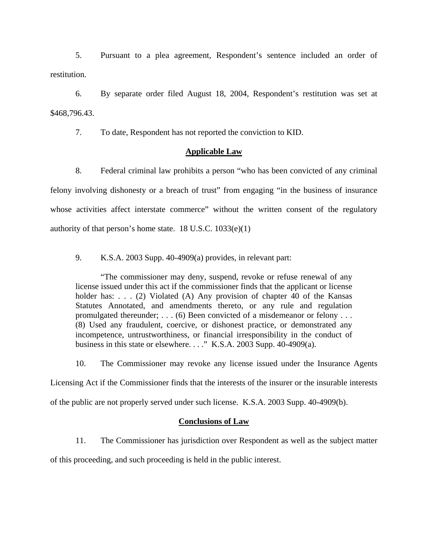5. Pursuant to a plea agreement, Respondent's sentence included an order of restitution.

6. By separate order filed August 18, 2004, Respondent's restitution was set at \$468,796.43.

7. To date, Respondent has not reported the conviction to KID.

# **Applicable Law**

8. Federal criminal law prohibits a person "who has been convicted of any criminal felony involving dishonesty or a breach of trust" from engaging "in the business of insurance whose activities affect interstate commerce" without the written consent of the regulatory authority of that person's home state.  $18$  U.S.C.  $1033(e)(1)$ 

9. K.S.A. 2003 Supp. 40-4909(a) provides, in relevant part:

"The commissioner may deny, suspend, revoke or refuse renewal of any license issued under this act if the commissioner finds that the applicant or license holder has: . . . (2) Violated (A) Any provision of chapter 40 of the Kansas Statutes Annotated, and amendments thereto, or any rule and regulation promulgated thereunder; . . . (6) Been convicted of a misdemeanor or felony . . . (8) Used any fraudulent, coercive, or dishonest practice, or demonstrated any incompetence, untrustworthiness, or financial irresponsibility in the conduct of business in this state or elsewhere. . . ." K.S.A. 2003 Supp. 40-4909(a).

10. The Commissioner may revoke any license issued under the Insurance Agents

Licensing Act if the Commissioner finds that the interests of the insurer or the insurable interests

of the public are not properly served under such license. K.S.A. 2003 Supp. 40-4909(b).

# **Conclusions of Law**

11. The Commissioner has jurisdiction over Respondent as well as the subject matter

of this proceeding, and such proceeding is held in the public interest.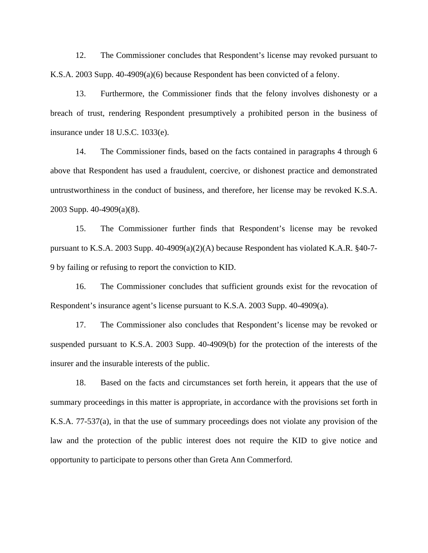12. The Commissioner concludes that Respondent's license may revoked pursuant to K.S.A. 2003 Supp. 40-4909(a)(6) because Respondent has been convicted of a felony.

13. Furthermore, the Commissioner finds that the felony involves dishonesty or a breach of trust, rendering Respondent presumptively a prohibited person in the business of insurance under 18 U.S.C. 1033(e).

14. The Commissioner finds, based on the facts contained in paragraphs 4 through 6 above that Respondent has used a fraudulent, coercive, or dishonest practice and demonstrated untrustworthiness in the conduct of business, and therefore, her license may be revoked K.S.A. 2003 Supp. 40-4909(a)(8).

15. The Commissioner further finds that Respondent's license may be revoked pursuant to K.S.A. 2003 Supp. 40-4909(a)(2)(A) because Respondent has violated K.A.R. §40-7- 9 by failing or refusing to report the conviction to KID.

16. The Commissioner concludes that sufficient grounds exist for the revocation of Respondent's insurance agent's license pursuant to K.S.A. 2003 Supp. 40-4909(a).

17. The Commissioner also concludes that Respondent's license may be revoked or suspended pursuant to K.S.A. 2003 Supp. 40-4909(b) for the protection of the interests of the insurer and the insurable interests of the public.

18. Based on the facts and circumstances set forth herein, it appears that the use of summary proceedings in this matter is appropriate, in accordance with the provisions set forth in K.S.A. 77-537(a), in that the use of summary proceedings does not violate any provision of the law and the protection of the public interest does not require the KID to give notice and opportunity to participate to persons other than Greta Ann Commerford.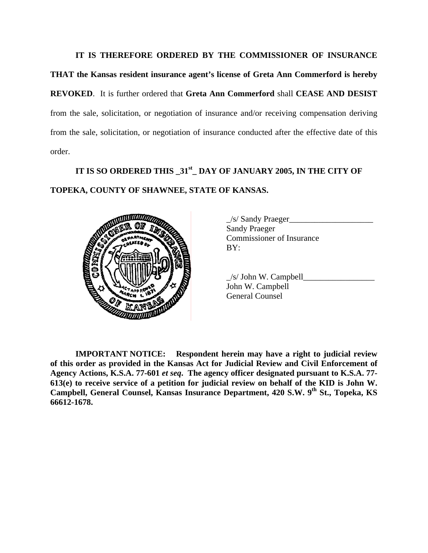# **IT IS THEREFORE ORDERED BY THE COMMISSIONER OF INSURANCE**

**THAT the Kansas resident insurance agent's license of Greta Ann Commerford is hereby REVOKED**. It is further ordered that **Greta Ann Commerford** shall **CEASE AND DESIST** from the sale, solicitation, or negotiation of insurance and/or receiving compensation deriving from the sale, solicitation, or negotiation of insurance conducted after the effective date of this order.

# **IT IS SO ORDERED THIS \_31st\_ DAY OF JANUARY 2005, IN THE CITY OF TOPEKA, COUNTY OF SHAWNEE, STATE OF KANSAS.**



| $\angle$ s/ Sandy Praeger        |  |
|----------------------------------|--|
| <b>Sandy Praeger</b>             |  |
| <b>Commissioner of Insurance</b> |  |
| BY:                              |  |

 $\angle$ s/ John W. Campbell $\Box$ John W. Campbell General Counsel

**IMPORTANT NOTICE: Respondent herein may have a right to judicial review of this order as provided in the Kansas Act for Judicial Review and Civil Enforcement of Agency Actions, K.S.A. 77-601** *et seq***. The agency officer designated pursuant to K.S.A. 77- 613(e) to receive service of a petition for judicial review on behalf of the KID is John W. Campbell, General Counsel, Kansas Insurance Department, 420 S.W. 9<sup>th</sup> St., Topeka, KS 66612-1678.**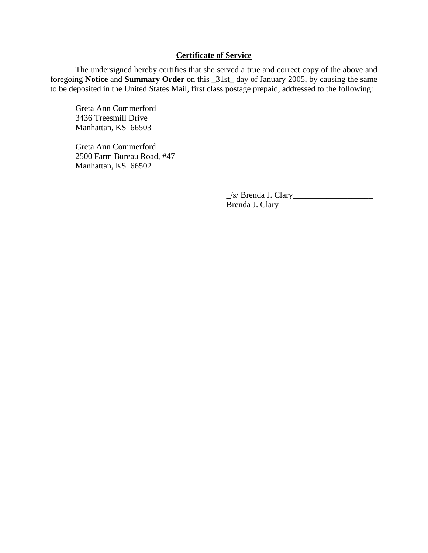# **Certificate of Service**

 The undersigned hereby certifies that she served a true and correct copy of the above and foregoing **Notice** and **Summary Order** on this \_31st\_ day of January 2005, by causing the same to be deposited in the United States Mail, first class postage prepaid, addressed to the following:

Greta Ann Commerford 3436 Treesmill Drive Manhattan, KS 66503

Greta Ann Commerford 2500 Farm Bureau Road, #47 Manhattan, KS 66502

> \_/s/ Brenda J. Clary\_\_\_\_\_\_\_\_\_\_\_\_\_\_\_\_\_\_\_ Brenda J. Clary